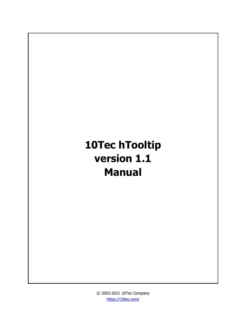# **10Tec hTooltip version 1.1 Manual**

© 2003-2021 10Tec Company <https://10tec.com/>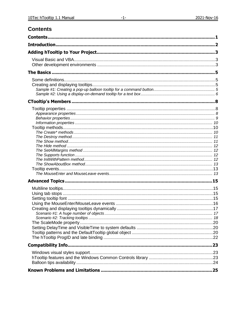# <span id="page-1-0"></span>**Contents**

| Contents. |  |
|-----------|--|
|           |  |
|           |  |
|           |  |
|           |  |
|           |  |
|           |  |
|           |  |
|           |  |
|           |  |
|           |  |
|           |  |
|           |  |
|           |  |
|           |  |
|           |  |
|           |  |
|           |  |
|           |  |
|           |  |
|           |  |
|           |  |
|           |  |
|           |  |
|           |  |
|           |  |
|           |  |
|           |  |
|           |  |
|           |  |
|           |  |
|           |  |
|           |  |
|           |  |
|           |  |
|           |  |
|           |  |
|           |  |
|           |  |
|           |  |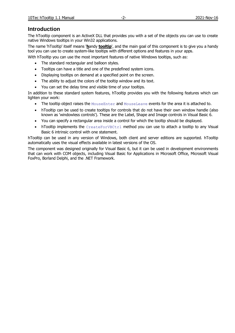# <span id="page-2-0"></span>**Introduction**

The hTooltip component is an ActiveX DLL that provides you with a set of the objects you can use to create native Windows tooltips in your Win32 applications.

The name 'hTooltip' itself means '**h**andy **tooltip**', and the main goal of this component is to give you a handy tool you can use to create system-like tooltips with different options and features in your apps.

With hTooltip you can use the most important features of native Windows tooltips, such as:

- The standard rectangular and balloon styles.
- Tooltips can have a title and one of the predefined system icons.
- Displaying tooltips on demand at a specified point on the screen.
- The ability to adjust the colors of the tooltip window and its text.
- You can set the delay time and visible time of your tooltips.

In addition to these standard system features, hTooltip provides you with the following features which can lighten your work:

- The tooltip object raises the MouseEnter and MouseLeave events for the area it is attached to.
- hTooltip can be used to create tooltips for controls that do not have their own window handle (also known as 'windowless controls'). These are the Label, Shape and Image controls in Visual Basic 6.
- You can specify a rectangular area inside a control for which the tooltip should be displayed.
- hTooltip implements the CreateForVBCtrl method you can use to attach a tooltip to any Visual Basic 6 intrinsic control with one statement.

hTooltip can be used in any version of Windows, both client and server editions are supported. hTooltip automatically uses the visual effects available in latest versions of the OS.

The component was designed originally for Visual Basic 6, but it can be used in development environments that can work with COM objects, including Visual Basic for Applications in Microsoft Office, Microsoft Visual FoxPro, Borland Delphi, and the .NET Framework.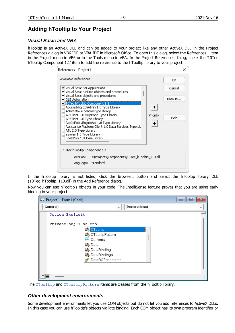# <span id="page-3-0"></span>**Adding hTooltip to Your Project**

# <span id="page-3-1"></span>*Visual Basic and VBA*

hTooltip is an ActiveX DLL and can be added to your project like any other ActiveX DLL in the Project References dialog in VB6 IDE or VBA IDE in Microsoft Office. To open this dialog, select the References… item in the Project menu in VB6 or in the Tools menu in VBA. In the Project References dialog, check the '10Tec hTooltip Component 1.1' item to add the reference to the hTooltip library to your project:

| References - Project1                                                                                                                                                                                                                                                                                                                                                                |        |
|--------------------------------------------------------------------------------------------------------------------------------------------------------------------------------------------------------------------------------------------------------------------------------------------------------------------------------------------------------------------------------------|--------|
| Available References:                                                                                                                                                                                                                                                                                                                                                                | ОК     |
| ■ Visual Basic For Applications<br>☑ Visual Basic runtime objects and procedures                                                                                                                                                                                                                                                                                                     | Cancel |
| v Visual Basic objects and procedures<br><b>▽</b> OLE Automation                                                                                                                                                                                                                                                                                                                     | Browse |
| 1.1 10Tec hTooltip Component 1.1<br>AccessibilityCplAdmin 1.0 Type Library<br>ActiveMovie control type library<br>AP Client 1.0 HelpPane Type Library<br>Priority<br>AP Client 1.0 Type Library<br>AppIdPolicyEngineApi 1.0 Type Library<br>Assistance Platform Client 1.0 Data Services Type Lib<br>ATL 2.0 Type Library<br>azroles 1.0 Type Library<br>Bdel IISrv 1.0 Tyne Library | Help   |
| 10Tec hTooltip Component 1.1                                                                                                                                                                                                                                                                                                                                                         |        |
| D:\Projects\Components\10Tec_hTooltip_110.dll<br>Location:<br>Standard<br>Language:                                                                                                                                                                                                                                                                                                  |        |

If the hTooltip library is not listed, click the Browse… button and select the hTooltip library DLL (10Tec\_hTooltip\_110.dll) in the Add Reference dialog.

Now you can use hTooltip's objects in your code. The IntelliSense feature proves that you are using early binding in your project:

| Project1 - Form1 (Code) |                                                                                                                                   | $\qquad \qquad =$ |
|-------------------------|-----------------------------------------------------------------------------------------------------------------------------------|-------------------|
| (General)               | (Declarations)<br>$\checkmark$                                                                                                    |                   |
| Option Explicit         |                                                                                                                                   |                   |
| Private objTT as cto    | CTooltip<br>CTooltipPattern<br>ed Currency<br><b>の</b> Data<br>B DataBinding<br>■ DataBindings<br>d <sup>a</sup> DataBOFconstants |                   |
| E                       |                                                                                                                                   | $-11$             |

The CTooltip and CTooltipPattern items are classes from the hTooltip library.

## <span id="page-3-2"></span>*Other development environments*

Some development environments let you use COM objects but do not let you add references to ActiveX DLLs. In this case you can use hTooltip's objects via late binding. Each COM object has its own program identifier or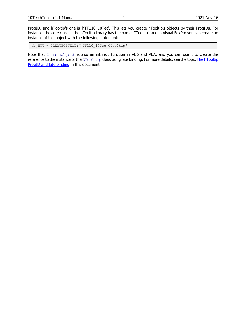ProgID, and hTooltip's one is 'hTT110\_10Tec'. This lets you create hTooltip's objects by their ProgIDs. For instance, the core class in the hTooltip library has the name 'CTooltip', and in Visual FoxPro you can create an instance of this object with the following statement:

objHTT = CREATEOBJECT("hTT110\_10Tec.CTooltip")

Note that CreateObject is also an intrinsic function in VB6 and VBA, and you can use it to create the reference to the instance of the CTooltip class using late binding. For more details, see the topic The hTooltip [ProgID and late binding](#page-22-0) in this document.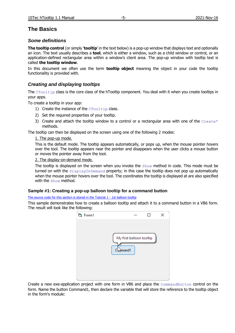# <span id="page-5-0"></span>**The Basics**

## <span id="page-5-1"></span>*Some definitions*

**The tooltip control** (or simply '**tooltip**' in the text below) is a pop-up window that displays text and optionally an icon. The text usually describes a **tool**, which is either a window, such as a child window or control, or an application-defined rectangular area within a window's client area. The pop-up window with tooltip text is called **the tooltip window**.

In this document we often use the term **tooltip object** meaning the object in your code the tooltip functionality is provided with.

# <span id="page-5-2"></span>*Creating and displaying tooltips*

The CTooltip class is the core class of the hTooltip component. You deal with it when you create tooltips in your apps.

To create a tooltip in your app:

- 1) Create the instance of the CTooltip class.
- 2) Set the required properties of your tooltip.
- 3) Create and attach the tooltip window to a control or a rectangular area with one of the Create\* methods.

The tooltip can then be displayed on the screen using one of the following 2 modes:

#### 1. The pop-up mode.

This is the default mode. The tooltip appears automatically, or pops up, when the mouse pointer hovers over the tool. The tooltip appears near the pointer and disappears when the user clicks a mouse button or moves the pointer away from the tool.

#### 2. The display-on-demand mode.

The tooltip is displayed on the screen when you invoke the  $Show$  method in code. This mode must be turned on with the DisplayOnDemand property; in this case the tooltip does not pop up automatically when the mouse pointer hovers over the tool. The coordinates the tooltip is displayed at are also specified with the Show method.

#### <span id="page-5-3"></span>**Sample #1: Creating a pop-up balloon tooltip for a command button**

[The source code for this section is stored in the Tutorial 1 -](Tutorials/Tutorial%201%20-%201st%20balloon%20tooltip/) 1st balloon tooltip

This sample demonstrates how to create a balloon tooltip and attach it to a command button in a VB6 form. The result will look like the following:

| d. Form1 |           |                          | × |
|----------|-----------|--------------------------|---|
|          |           |                          |   |
|          |           |                          |   |
|          |           | My first balloon tooltip |   |
|          |           |                          |   |
|          | Claymand1 |                          |   |
|          |           |                          |   |
|          |           |                          |   |
|          |           |                          |   |
|          |           |                          |   |

Create a new exe-application project with one form in VB6 and place the CommandButton control on the form. Name the button Command1, then declare the variable that will store the reference to the tooltip object in the form's module: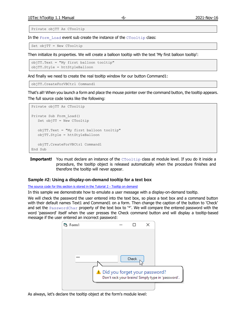Private objTT As CTooltip

In the Form Load event sub create the instance of the CTooltip class:

Set objTT = New CTooltip

Then initialize its properties. We will create a balloon tooltip with the text 'My first balloon tooltip':

```
objTT.Text = "My first balloon tooltip"
objTT.Style = httStyleBalloon
```
And finally we need to create the real tooltip window for our button Command1:

```
objTT.CreateForVBCtrl Command1
```
That's all! When you launch a form and place the mouse pointer over the command button, the tooltip appears. The full source code looks like the following:

```
Private objTT As CTooltip
Private Sub Form_Load()
   Set objTT = New CTooltip
   objTT.Text = "My first balloon tooltip"
   objTT.Style = httStyleBalloon
   objTT.CreateForVBCtrl Command1
End Sub
```
**Important!** You must declare an instance of the CTooltip class at module level. If you do it inside a procedure, the tooltip object is released automatically when the procedure finishes and therefore the tooltip will never appear.

#### <span id="page-6-0"></span>**Sample #2: Using a display-on-demand tooltip for a text box**

[The source code for this section is stored in the Tutorial 2 -](Tutorials/Tutorial%202%20-%20Tooltip%20on%20demand/) Tooltip on demand

In this sample we demonstrate how to emulate a user message with a display-on-demand tooltip.

We will check the password the user entered into the text box, so place a text box and a command button with their default names Text1 and Command1 on a form. Then change the caption of the button to 'Check' and set the PasswordChar property of the text box to '\*'. We will compare the entered password with the word 'password' itself when the user presses the Check command button and will display a tooltip-based message if the user entered an incorrect password:



As always, let's declare the tooltip object at the form's module level: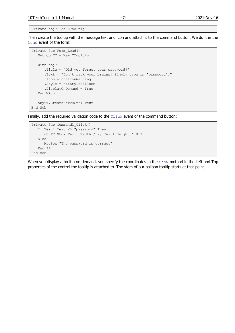Private objTT As CTooltip

Then create the tooltip with the message text and icon and attach it to the command button. We do it in the Load event of the form:

```
Private Sub Form_Load()
   Set objTT = New CTooltip
    With objTT
      .Title = "Did you forget your password?"
       .Text = "Don't rack your brains! Simply type in 'password'."
       .Icon = httIconWarning
       .Style = httStyleBalloon
       .DisplayOnDemand = True
   End With
    objTT.CreateForVBCtrl Text1
End Sub
```
Finally, add the required validation code to the  $\text{Click}$  event of the command button:

```
Private Sub Command1_Click()
   If Text1.Text <> "password" Then
       objTT.Show Text1.Width / 2, Text1.Height * 0.7
   Else
      MsgBox "The password is correct"
    End If
End Sub
```
When you display a tooltip on demand, you specify the coordinates in the Show method in the Left and Top properties of the control the tooltip is attached to. The stem of our balloon tooltip starts at that point.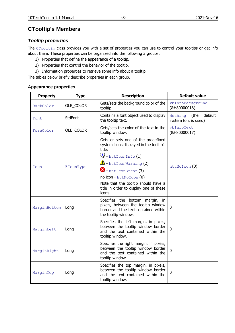# <span id="page-8-1"></span><span id="page-8-0"></span>*Tooltip properties*

The CTooltip class provides you with a set of properties you can use to control your tooltips or get info about them. These properties can be organized into the following 3 groups:

- 1) Properties that define the appearance of a tooltip.
- 2) Properties that control the behavior of the tooltip.
- 3) Information properties to retrieve some info about a tooltip.

The tables below briefly describe properties in each group.

## <span id="page-8-2"></span>**Appearance properties**

| <b>Property</b> | <b>Type</b>    | <b>Description</b>                                                                                                                                                                                                                                                                                         | <b>Default value</b>                               |
|-----------------|----------------|------------------------------------------------------------------------------------------------------------------------------------------------------------------------------------------------------------------------------------------------------------------------------------------------------------|----------------------------------------------------|
| BackColor       | OLE_COLOR      | Gets/sets the background color of the<br>tooltip.                                                                                                                                                                                                                                                          | vbInfoBackground<br>(&H80000018)                   |
| Font            | <b>StdFont</b> | Contains a font object used to display<br>the tooltip text.                                                                                                                                                                                                                                                | default<br>(the<br>Nothing<br>system font is used) |
| ForeColor       | OLE COLOR      | Gets/sets the color of the text in the<br>tooltip window.                                                                                                                                                                                                                                                  | vbInfoText<br>(&H80000017)                         |
| Icon            | EIconType      | Gets or sets one of the predefined<br>system icons displayed in the tooltip's<br>title:<br>$\ddot{Q}$ - httIconInfo (1)<br>$\triangle$ - httIconWarning (2)<br>3) - httIconError (3)<br>no icon - httNoIcon (0)<br>Note that the tooltip should have a<br>title in order to display one of these<br>icons. | $htthoIcon$ $(0)$                                  |
| MarginBottom    | Long           | Specifies the bottom margin, in<br>pixels, between the tooltip window<br>border and the text contained within<br>the tooltip window.                                                                                                                                                                       | $\mathbf 0$                                        |
| MarginLeft      | Long           | Specifies the left margin, in pixels,<br>between the tooltip window border<br>and the text contained within the<br>tooltip window.                                                                                                                                                                         | $\overline{0}$                                     |
| MarginRight     | Long           | Specifies the right margin, in pixels,<br>between the tooltip window border<br>and the text contained within the<br>tooltip window.                                                                                                                                                                        | $\mathbf{0}$                                       |
| MarginTop       | Long           | Specifies the top margin, in pixels,<br>between the tooltip window border<br>and the text contained within the<br>tooltip window.                                                                                                                                                                          | 0                                                  |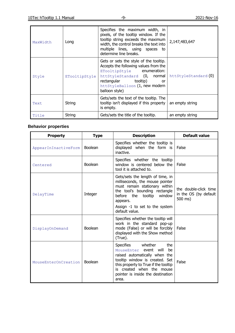| MaxWidth | Long          | Specifies the maximum width, in<br>pixels, of the tooltip window. If the<br>tooltip string exceeds the maximum<br>width, the control breaks the text into<br>multiple lines, using spaces to<br>determine line breaks.         | 2,147,483,647        |
|----------|---------------|--------------------------------------------------------------------------------------------------------------------------------------------------------------------------------------------------------------------------------|----------------------|
| Style    | ETooltipStyle | Gets or sets the style of the tooltip.<br>Accepts the following values from the<br>ETooltipStyle enumeration:<br>httStyleStandard (0, normal<br>rectangular tooltip)<br>or<br>httStyleBalloon (1, new modern<br>balloon style) | httStyleStandard (0) |
| Text     | String        | Gets/sets the text of the tooltip. The<br>tooltip isn't displayed if this property<br>is empty.                                                                                                                                | an empty string      |
| Title    | String        | Gets/sets the title of the tooltip.                                                                                                                                                                                            | an empty string      |

# <span id="page-9-0"></span>**Behavior properties**

| <b>Property</b>      | <b>Type</b>    | <b>Description</b>                                                                                                                                                                                                                                  | <b>Default value</b>                                      |
|----------------------|----------------|-----------------------------------------------------------------------------------------------------------------------------------------------------------------------------------------------------------------------------------------------------|-----------------------------------------------------------|
| AppearInInactiveForm | Boolean        | Specifies whether the tooltip is<br>displayed when the form is<br>inactive.                                                                                                                                                                         | False                                                     |
| Centered             | Boolean        | Specifies whether the tooltip<br>window is centered below the<br>tool it is attached to.                                                                                                                                                            | False                                                     |
| DelayTime            | Integer        | Gets/sets the length of time, in<br>milliseconds, the mouse pointer<br>must remain stationary within<br>the tool's bounding rectangle<br>before the tooltip window<br>appears.<br>Assign -1 to set to the system<br>default value.                  | the double-click time<br>in the OS (by default<br>500 ms) |
| DisplayOnDemand      | <b>Boolean</b> | Specifies whether the tooltip will<br>work in the standard pop-up<br>mode (False) or will be forcibly<br>displayed with the Show method<br>(True).                                                                                                  | False                                                     |
| MouseEnterOnCreation | Boolean        | Specifies<br>whether<br>the<br>event will<br>be<br>MouseEnter<br>raised automatically when the<br>tooltip window is created. Set<br>this property to True if the tooltip<br>is created when the mouse<br>pointer is inside the destination<br>area. | False                                                     |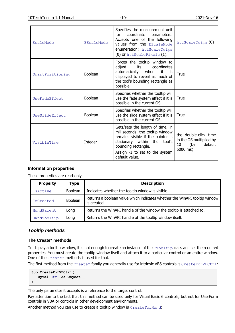| ScaleMode        | EScaleMode     | Specifies the measurement unit<br>coordinate parameters.<br>for<br>Accepts one of the following<br>values from the EScaleMode<br>enumeration: httScaleTwips<br>(0) or httScalePixels (1).                            |                                                                                      |
|------------------|----------------|----------------------------------------------------------------------------------------------------------------------------------------------------------------------------------------------------------------------|--------------------------------------------------------------------------------------|
| SmartPositioning | <b>Boolean</b> | Forces the tooltip window to<br>adjust<br>its<br>coordinates<br>automatically<br>when<br>it it<br>-is<br>displayed to reveal as much of<br>the tool's bounding rectangle as<br>possible.                             | True                                                                                 |
| UseFadeEffect    | Boolean        | Specifies whether the tooltip will<br>use the fade system effect if it is<br>possible in the current OS.                                                                                                             | True                                                                                 |
| UseSlideEffect   | <b>Boolean</b> | Specifies whether the tooltip will<br>use the slide system effect if it is<br>possible in the current OS.                                                                                                            | True                                                                                 |
| VisibleTime      | Integer        | Gets/sets the length of time, in<br>milliseconds, the tooltip window<br>remains visible if the pointer is<br>stationary within the tool's<br>bounding rectangle.<br>Assign -1 to set to the system<br>default value. | the double-click time<br>in the OS multiplied by<br>default<br>(by<br>10<br>5000 ms) |

### <span id="page-10-0"></span>**Information properties**

These properties are read-only.

| <b>Property</b> | Type           | <b>Description</b>                                                                       |  |
|-----------------|----------------|------------------------------------------------------------------------------------------|--|
| IsActive        | Boolean        | Indicates whether the tooltip window is visible                                          |  |
| IsCreated       | <b>Boolean</b> | Returns a boolean value which indicates whether the WinAPI tooltip window<br>is created. |  |
| HwndParent      | Long           | Returns the WinAPI handle of the window the tooltip is attached to.                      |  |
| HwndTooltip     | Long           | Returns the WinAPI handle of the tooltip window itself.                                  |  |

# <span id="page-10-1"></span>*Tooltip methods*

#### <span id="page-10-2"></span>**The Create\* methods**

To display a tooltip window, it is not enough to create an instance of the CTooltip class and set the required properties. You must create the tooltip window itself and attach it to a particular control or an entire window. One of the Create\* methods is used for that.

The first method from the Create\* family you generally use for intrinsic VB6 controls is CreateForVBCtrl:

```
Sub CreateForVBCtrl( _
    ByVal Ctrl As Object _
)
```
The only parameter it accepts is a reference to the target control.

Pay attention to the fact that this method can be used only for Visual Basic 6 controls, but not for UserForm controls in VBA or controls in other development environments.

Another method you can use to create a tooltip window is CreateForHwnd: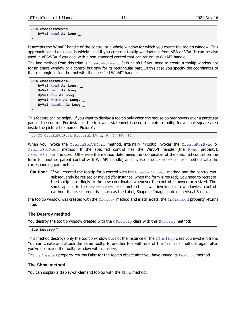```
Sub CreateForHwnd( _
    ByVal Hwnd As Long _
)
```
It accepts the WinAPI handle of the control or a whole window for which you create the tooltip window. This approach based on Hwnd is widely used if you create a tooltip window not from VB6 or VBA. It can be also used in VB6/VBA if you deal with a non-standard control that can return its WinAPI handle.

The last method from this triad is CreateForRect. It is helpful if you need to create a tooltip window not for an entire window or a control but only for its rectangular part. In this case you specify the coordinates of that rectangle inside the tool with the specified WinAPI handle:

```
Sub CreateForRect( _
    ByVal Hwnd As Long, _
    ByVal Left As Long, _
    ByVal Top As Long, _
    ByVal Width As Long, _
    ByVal Height As Long _
)
```
This feature can be helpful if you want to display a tooltip only when the mouse pointer hovers over a particular part of the control. For instance, the following statement is used to create a tooltip for a small square area inside the picture box named Picture1:

objTT.CreateForRect Picture1.hWnd, 0, 0, 90, 90

When you invoke the CreateForVBCtrl method, internally hTooltip invokes the CreateForHwnd or CreateForRect method. If the specified control has the WinAPI handle (the Hwnd property), CreateForHwnd is used. Otherwise the method determines the coordinates of the specified control on the form (or another parent control with WinAPI handle) and invokes the CreateForRect method with the corresponding parameters.

**Caution:** If you created the tooltip for a control with the CreateForRect method and the control can subsequently be resized or moved (for instance, when the form is resized), you need to recreate the tooltip accordingly to the new coordinates whenever the control is moved or resized. The same applies to the  $\text{CreateForward}$  method if it was invoked for a windowless control (without the  $Hwnd$  property – such as the Label, Shape or Image controls in Visual Basic).

If a tooltip window was created with the Create\* method and is still exists, the IsCreated property returns True.

#### <span id="page-11-0"></span>**The Destroy method**

You destroy the tooltip window created with the  $CTOOLtip$  class with this Destroy method:

**Sub Destroy()**

This method destroys only the tooltip window but not the instance of the CTooltip class you invoke it from. You can create and attach the same tooltip to another tool with one of the Create\* methods again after you've destroyed the tooltip window with Destroy.

The IsCreated property returns False for the tooltip object after you have issued its Destroy method.

#### <span id="page-11-1"></span>**The Show method**

You can display a display-on-demand tooltip with the Show method: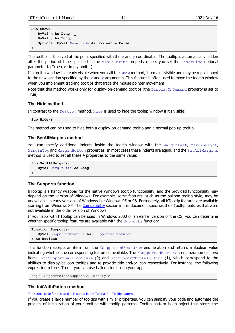```
Sub Show( _
   ByVal x As Long, _
    ByVal y As Long, _
    Optional ByVal NeverHide As Boolean = False _
)
```
The tooltip is displayed at the point specified with the  $x$  and  $y$  coordinates. The tooltip is automatically hidden after the period of time specified in the VisibleTime property unless you set the NeverHide optional parameter to True (or simply omit it).

If a tooltip window is already visible when you call the  $Show$  method, it remains visible and may be repositioned to the new location specified by the  $x$  and  $y$  arguments. This feature is often used to move the tooltip window when you implement tracking tooltips that trace the mouse pointer movement.

Note that this method works only for display-on-demand tooltips (the DisplayOnDemand property is set to True).

#### <span id="page-12-0"></span>**The Hide method**

In contrast to the Destroy method, Hide is used to hide the tooltip window if it's visible:

**Sub Hide()**

The method can be used to hide both a display-on-demand tooltip and a normal pop-up tooltip.

#### <span id="page-12-1"></span>**The SetAllMargins method**

You can specify additional indents inside the tooltip window with the MarginLeft, MarginRight, MarginTop and MarginBottom properties. In most cases these indents are equal, and the SetAllMargins method is used to set all these 4 properties to the same value:

```
Sub SetAllMargins( _
   ByVal MarginSize As Long _
)
```
#### <span id="page-12-2"></span>**The Supports function**

hTooltip is a handy wrapper for the native Windows tooltip functionality, and the provided functionality may depend on the version of Windows. For example, some features, such as the balloon tooltip style, may be unavailable in early versions of Windows like Windows 95 or 98. Fortunately, all hTooltip features are available starting from Windows XP. The [Compatibility](#page-23-0) section in this document specifies the hTooltip features that were not available in the older version of Windows.

If your app with hTooltip can be used in Windows 2000 or an earlier version of the OS, you can determine whether specific tooltip features are available with the Supports function:

```
Function Supports( _
    ByVal SupportedFeature As ESupportedFeatures _
) As Boolean
```
This function accepts an item from the ESupportedFeatures enumeration and returns a Boolean value indicating whether the corresponding feature is available. The ESupportedFeatures enumeration has two items, httSupportBalloonStyle (0) and httSupportTitleAndIcon (1), which correspond to the abilities to display balloon tooltips and to provide title and/or icon respectively. For instance, the following expression returns True if you can use balloon tooltips in your app:

```
objTT.Supports(httSupportBalloonStyle)
```
#### <span id="page-12-3"></span>**The InitWithPattern method**

The source code for this section is stored in the Tutorial  $7 -$  Tooltip patterns

If you create a large number of tooltips with similar properties, you can simplify your code and automate the process of initialization of your tooltips with tooltip patterns. Tooltip pattern is an object that stores the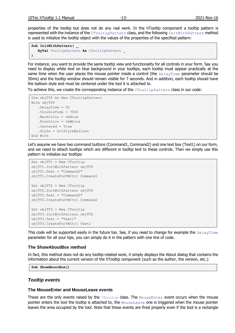properties of the tooltip but does not do any real work. In the hTooltip component a tooltip pattern is represented with the instance of the CTooltipPattern class, and the following InitWithPattern method is used to initialize the tooltip object with the values of the properties of the specified pattern:

```
Sub InitWithPattern( _
    ByVal TooltipPattern As CTooltipPattern _
)
```
For instance, you want to provide the same tooltip view and functionality for all controls in your form. Say you need to display white text on blue background in your tooltips, each tooltip must appear practically at the same time when the user places the mouse pointer inside a control (the DelayTime parameter should be 50ms) and the tooltip window should remain visible for 7 seconds. And in addition, each tooltip should have the balloon style and must be centered under the tool it is attached to.

To achieve this, we create the corresponding instance of the CTooltipPattern class in our code:

```
Dim objTTP As New CTooltipPattern
With objTTP
    .DelayTime = 50
    .VisibleTime = 7000
    .BackColor = vbBlue
    .ForeColor = vbWhite
    .Centered = True
    .Style = httStyleBalloon
End With
```
Let's assume we have two command buttons (Command1, Command2) and one text box (Text1) on our form, and we need to attach tooltips which are different in tooltip text to these controls. Then we simply use this pattern to initialize our tooltips:

```
Set objTT1 = New CTooltip
objTT1.InitWithPattern objTTP
objTT1.Text = "Command1"
objTT1.CreateForVBCtrl Command1
Set objTT2 = New CTooltip
objTT2.InitWithPattern objTTP
objTT2.Text = "Command2"
objTT2.CreateForVBCtrl Command2
Set objTT3 = New CTooltip
objTT3.InitWithPattern objTTP
objTT3.Text = "Text1"
objTT3.CreateForVBCtrl Text1
```
This code will be supported easily in the future too. See, if you need to change for example the DelayTime parameter for all your tips, you can simply do it in the pattern with one line of code.

#### <span id="page-13-0"></span>**The ShowAboutBox method**

In fact, this method does not do any tooltip-related work, it simply displays the About dialog that contains the information about the current version of the hTooltip component (such as the author, the version, etc.):

**Sub ShowAboutBox()**

#### <span id="page-13-1"></span>*Tooltip events*

#### <span id="page-13-2"></span>**The MouseEnter and MouseLeave events**

These are the only events raised by the  $CTOOLtip$  class. The  $MouseEnter$  event occurs when the mouse pointer enters the tool the tooltip is attached to, the MouseLeave one is triggered when the mouse pointer leaves the area occupied by the tool. Note that these events are fired properly even if the tool is a rectangle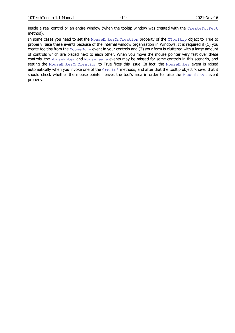inside a real control or an entire window (when the tooltip window was created with the CreateForRect method).

In some cases you need to set the MouseEnterOnCreation property of the CTooltip object to True to properly raise these events because of the internal window organization in Windows. It is required if (1) you create tooltips from the MouseMove event in your controls and (2) your form is cluttered with a large amount of controls which are placed next to each other. When you move the mouse pointer very fast over these controls, the MouseEnter and MouseLeave events may be missed for some controls in this scenario, and setting the MouseEnterOnCreation to True fixes this issue. In fact, the MouseEnter event is raised automatically when you invoke one of the Create\* methods, and after that the tooltip object 'knows' that it should check whether the mouse pointer leaves the tool's area in order to raise the MouseLeave event properly.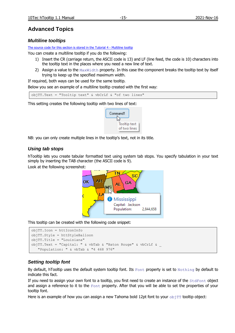# <span id="page-15-0"></span>**Advanced Topics**

## <span id="page-15-1"></span>*Multiline tooltips*

[The source code for this section is stored in the Tutorial 4 -](Tutorials/Tutorial%204%20-%20Multiline%20tooltip/) Multiline tooltip

You can create a multiline tooltip if you do the following:

- 1) Insert the CR (carriage return, the ASCII code is 13) and LF (line feed, the code is 10) characters into the tooltip text in the places where you need a new line of text.
- 2) Assign a value to the MaxWidth property. In this case the component breaks the tooltip text by itself trying to keep up the specified maximum width.

If required, both ways can be used for the same tooltip.

Below you see an example of a multiline tooltip created with the first way:

objTT.Text = "Tooltip text" & vbCrLf & "of two lines"

This setting creates the following tooltip with two lines of text:



NB: you can only create multiple lines in the tooltip's text, not in its title.

## <span id="page-15-2"></span>*Using tab stops*

hTooltip lets you create tabular formatted text using system tab stops. You specify tabulation in your text simply by inserting the TAB character (the ASCII code is 9).

Look at the following screenshot:



This tooltip can be created with the following code snippet:

```
objTT.Icon = httIconInfo
objTT.Style = httStyleBalloon
objTT.Title = "Louisiana"
objTT.Text = "Capital: " & vbTab & "Baton Rouge" & vbCrLf & _
    "Population: " & vbTab & "4 468 976"
```
# <span id="page-15-3"></span>*Setting tooltip font*

By default, hTooltip uses the default system tooltip font. Its  $_{\text{Font}}$  property is set to  $_{\text{Nothing}}$  by default to indicate this fact.

If you need to assign your own font to a tooltip, you first need to create an instance of the StdFont object and assign a reference to it to the  $\text{Font}$  property. After that you will be able to set the properties of your tooltip font.

Here is an example of how you can assign a new Tahoma bold 12pt font to your  $\circ$ biTT tooltip object: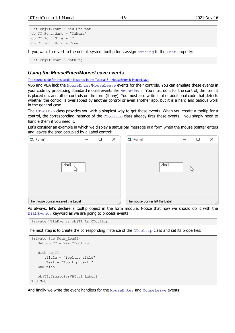```
Set objTT.Font = New StdFont
objTT.Font.Name = "Tahoma"
objTT.Font.Size = 12
objTT.Font.Bold = True
```
If you want to revert to the default system tooltip font, assign  $\text{Nothing}$  to the Font property:

```
Set objTT.Font = Nothing
```
## <span id="page-16-0"></span>*Using the MouseEnter/MouseLeave events*

[The source code for this section is stored in the Tutorial 3 -](Tutorials/Tutorial%203%20-%20MouseEnter%20&%20MouseLeave/) MouseEnter & MouseLeave

VB6 and VBA lack the MouseEnter/MouseLeave events for their controls. You can emulate these events in your code by processing standard mouse events like MouseMove. You must do it for the control, the form it is placed on, and other controls on the form (if any). You must also write a lot of additional code that detects whether the control is overlapped by another control or even another app, but it is a hard and tedious work in the general case.

The CTooltip class provides you with a simplest way to get these events. When you create a tooltip for a control, the corresponding instance of the  $CTOOLtip$  class already fires these events – you simply need to handle them if you need it.

Let's consider an example in which we display a status bar message in a form when the mouse pointer enters and leaves the area occupied by a Label control:



As always, let's declare a tooltip object in the form module. Notice that now we should do it with the WithEvents keyword as we are going to process events:

Private WithEvents objTT As CTooltip

The next step is to create the corresponding instance of the  $CTOOLtip$  class and set its properties:

```
Private Sub Form_Load()
    Set objTT = New CTooltip
    With objTT
       .Title = "Tooltip title"
       .Text = "Tooltip text."
    End With
    objTT.CreateForVBCtrl Label1
End Sub
```
And finally we write the event handlers for the MouseEnter and MouseLeave events: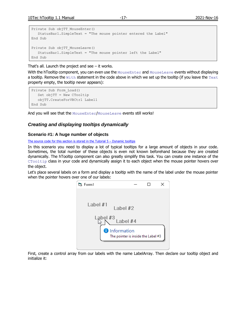```
Private Sub objTT_MouseEnter()
    StatusBar1.SimpleText = "The mouse pointer entered the Label"
End Sub
Private Sub objTT_MouseLeave()
    StatusBar1.SimpleText = "The mouse pointer left the Label"
End Sub
```
That's all. Launch the project and see  $-$  it works.

With the hTooltip component, you can even use the MouseEnter and MouseLeave events without displaying a tooltip. Remove the  $W$ ith statement in the code above in which we set up the tooltip (if you leave the Text property empty, the tooltip never appears):

```
Private Sub Form_Load()
    Set objTT = New CTooltip
    objTT.CreateForVBCtrl Label1
End Sub
```
And you will see that the MouseEnter/MouseLeave events still works!

## <span id="page-17-0"></span>*Creating and displaying tooltips dynamically*

#### <span id="page-17-1"></span>**Scenario #1: A huge number of objects**

The source code for this section is stored in the Tutorial  $5 -$  Dynamic tooltips

In this scenario you need to display a lot of typical tooltips for a large amount of objects in your code. Sometimes, the total number of these objects is even not known beforehand because they are created dynamically. The hTooltip component can also greatly simplify this task. You can create one instance of the CTooltip class in your code and dynamically assign it to each object when the mouse pointer hovers over the object.

Let's place several labels on a form and display a tooltip with the name of the label under the mouse pointer when the pointer hovers over one of our labels:



First, create a control array from our labels with the name LabelArray. Then declare our tooltip object and initialize it: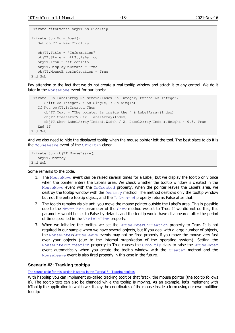```
Private WithEvents objTT As CTooltip
Private Sub Form_Load()
   Set objTT = New CTooltip
    objTT.Title = "Information"
    objTT.Style = httStyleBalloon
    objTT.Icon = httIconInfo
    objTT.DisplayOnDemand = True
    objTT.MouseEnterOnCreation = True
End Sub
```
Pay attention to the fact that we do not create a real tooltip window and attach it to any control. We do it later in the MouseMove event for our labels:

```
Private Sub LabelArray_MouseMove(Index As Integer, Button As Integer,
      Shift As Integer, X As Single, Y As Single)
    If Not objTT.IsCreated Then
      objTT.Text = "The pointer is inside the " & LabelArray(Index)
       objTT.CreateForVBCtrl LabelArray(Index)
       objTT.Show LabelArray(Index).Width / 2, LabelArray(Index).Height * 0.8, True
   End If
End Sub
```
And we also need to hide the displayed tooltip when the mouse pointer left the tool. The best place to do it is the MouseLeave event of the CTooltip class:

```
Private Sub objTT_MouseLeave()
   objTT.Destroy
End Sub
```
Some remarks to the code.

- 1. The MouseMove event can be raised several times for a Label, but we display the tooltip only once when the pointer enters the Label's area. We check whether the tooltip window is created in the MouseMove event with the IsCreated property. When the pointer leaves the Label's area, we destroy the tooltip window with the Destroy method. The method destroys only the tooltip window but not the entire tooltip object, and the IsCreated property returns False after that.
- 2. The tooltip remains visible until you move the mouse pointer outside the Label's area. This is possible due to the NeverHide parameter of the Show method we set to True. If we did not do this, this parameter would be set to False by default, and the tooltip would have disappeared after the period of time specified in the VisibleTime property.
- 3. When we initialize the tooltip, we set the MouseEnterOnCreation property to True. It is not required in our sample when we have several objects, but if you deal with a large number of objects, the MouseEnter/MouseLeave events may not be fired properly if you move the mouse very fast over your objects (due to the internal organization of the operating system). Setting the MouseEnterOnCreation property to True causes the CTooltip class to raise the MouseEnter event automatically when you create the tooltip window with the  $\text{Create*}$  method and the MouseLeave event is also fired properly in this case in the future.

#### <span id="page-18-0"></span>**Scenario #2: Tracking tooltips**

[The source code for this section is stored in the Tutorial 6 -](Tutorials/Tutorial%206%20-%20Tracking%20tooltips/) Tracking tooltips

With hTooltip you can implement so-called tracking tooltips that 'track' the mouse pointer (the tooltip follows it). The tooltip text can also be changed while the tooltip is moving. As an example, let's implement with hTooltip the application in which we display the coordinates of the mouse inside a form using our own multiline tooltip: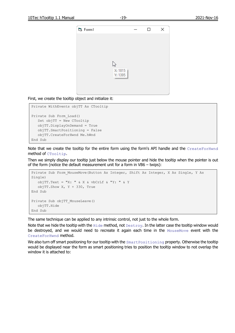

First, we create the tooltip object and initialize it:

```
Private WithEvents objTT As CTooltip
Private Sub Form_Load()
   Set objTT = New CTooltip
    objTT.DisplayOnDemand = True
    objTT.SmartPositioning = False
    objTT.CreateForHwnd Me.hWnd
End Sub
```
Note that we create the tooltip for the entire form using the form's API handle and the CreateForHwnd method of CTooltip.

Then we simply display our tooltip just below the mouse pointer and hide the tooltip when the pointer is out of the form (notice the default measurement unit for a form in VB6 – twips):

```
Private Sub Form MouseMove(Button As Integer, Shift As Integer, X As Single, Y As
Single)
  objTT.Text = "X: " & X & wbCrLf & wY: " & Y objTT.Show X, Y + 330, True
End Sub
Private Sub objTT_MouseLeave()
   objTT.Hide
End Sub
```
The same technique can be applied to any intrinsic control, not just to the whole form.

Note that we hide the tooltip with the Hide method, not Destroy. In the latter case the tooltip window would be destroyed, and we would need to recreate it again each time in the MouseMove event with the CreateForHwnd method.

We also turn off smart positioning for our tooltip with the SmartPositioning property. Otherwise the tooltip would be displayed near the form as smart positioning tries to position the tooltip window to not overlap the window it is attached to: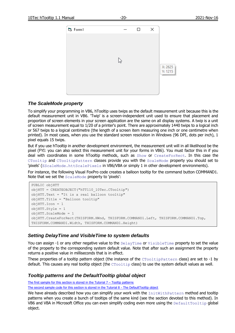

#### <span id="page-20-0"></span>*The ScaleMode property*

To simplify your programming in VB6, hTooltip uses twips as the default measurement unit because this is the default measurement unit in VB6. 'Twip' is a screen-independent unit used to ensure that placement and proportion of screen elements in your screen application are the same on all display systems. A twip is a unit of screen measurement equal to 1/20 of a printer's point. There are approximately 1440 twips to a logical inch or 567 twips to a logical centimetre (the length of a screen item measuring one inch or one centimetre when printed). In most cases, when you use the standard screen resolution in Windows (96 DPI, dots per inch), 1 pixel equals 15 twips.

But if you use hTooltip in another development environment, the measurement unit will in all likelihood be the pixel (FYI: you can also select this measurement unit for your forms in VB6). You must factor this in if you deal with coordinates in some hTooltip methods, such as Show or CreateForRect. In this case the CTooltip and CTooltipPattern classes provide you with the ScaleMode property you should set to 'pixels' (EScaleMode.httScalePixels in VB6/VBA or simply 1 in other development environments).

For instance, the following Visual FoxPro code creates a balloon tooltip for the command button COMMAND1. Note that we set the ScaleMode property to 'pixels':

```
PUBLIC objHTT
objHTT = CREATEOBJECT("hTT110_10Tec.CTooltip")
objHTT.Text = "It is a real balloon tooltip"
objHTT.Title = "Balloon tooltip"
objHTT.Icon = 1
objHTT.Style = 1
objHTT.ScaleMode = 1
objHTT.CreateForRect(THISFORM.HWnd, THISFORM.COMMAND1.Left, THISFORM.COMMAND1.Top, 
THISFORM.COMMAND1.Width, THISFORM.COMMAND1.Height)
```
#### <span id="page-20-1"></span>*Setting DelayTime and VisibleTime to system defaults*

You can assign -1 or any other negative value to the  $DelayTime$  or  $VisibleTime$  property to set the value of the property to the corresponding system default value. Note that after such an assignment the property returns a positive value in milliseconds that is in effect.

These properties of a tooltip pattern object (the instance of the CTooltipPattern class) are set to -1 by default. This causes any real tooltip object (the  $CTOOLtip$  class) to use the system default values as well.

#### <span id="page-20-2"></span>*Tooltip patterns and the DefaultTooltip global object*

The first sample for this section is stored in the Tutorial  $7 -$  Tooltip patterns

The second [sample code for this section is stored in the Tutorial 8 -](Tutorials/Tutorial%208%20-%20The%20DefaultTooltip%20object/) The DefaultTooltip object

We have already described how you can simplify your work with the InitWithPattern method and tooltip patterns when you create a bunch of tooltips of the same kind (see the section devoted to this method). In VB6 and VBA in Microsoft Office you can even simplify coding even more using the DefaultTooltip global object.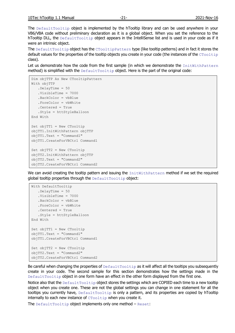The DefaultTooltip object is implemented by the hTooltip library and can be used anywhere in your VB6/VBA code without preliminary declaration as it is a global object. When you set the reference to the hTooltip DLL, the DefaultTooltip object appears in the IntelliSense list and is used in your code as if it were an intrinsic object.

The DefaultTooltip object has the CTooltipPattern type (like tooltip patterns) and in fact it stores the default values for the properties of the tooltip objects you create in your code (the instances of the  $C_{\text{Tooltip}}$ class).

Let us demonstrate how the code from the first sample (in which we demonstrate the InitWithPattern method) is simplified with the  $Definition$   $Definition$  object. Here is the part of the original code:

```
Dim objTTP As New CTooltipPattern
With objTTP
    .DelayTime = 50
    .VisibleTime = 7000
    .BackColor = vbBlue
    .ForeColor = vbWhite
    .Centered = True
   .Style = httStyleBalloon
End With
Set objTT1 = New CTooltip
objTT1.InitWithPattern objTTP
objTT1.Text = "Command1"
objTT1.CreateForVBCtrl Command1
Set objTT2 = New CTooltip
objTT2.InitWithPattern objTTP
objTT2.Text = "Command2"
objTT2.CreateForVBCtrl Command2
```
We can avoid creating the tooltip pattern and issuing the InitWithPattern method if we set the required global tooltip properties through the DefaultTooltip object:

```
With DefaultTooltip
   .DelayTime = 50
    .VisibleTime = 7000
    .BackColor = vbBlue
    .ForeColor = vbWhite
    .Centered = True
   .Style = httStyleBalloon
End With
Set objTT1 = New CTooltip
objTT1.Text = "Command1"
objTT1.CreateForVBCtrl Command1
Set objTT2 = New CTooltip
objTT2.Text = "Command2"
objTT2.CreateForVBCtrl Command2
```
Be careful when changing the properties of  $Definition$   $DefaultTo orbit$  as it will affect all the tooltips you subsequently create in your code. The second sample for this section demonstrates how the settings made in the DefaultTooltip object in one form have an effect in the other form displayed from the first one.

Notice also that the DefaultTooltip object stores the settings which are COPIED each time to a new tooltip object when you create one. These are not the global settings you can change in one statement for all the tooltips you currently have,  $Definition$  is only a pattern, and its properties are copied by hTooltip internally to each new instance of  $CTOOLtip$  when you create it.

The DefaultTooltip object implements only one method  $-$  Reset: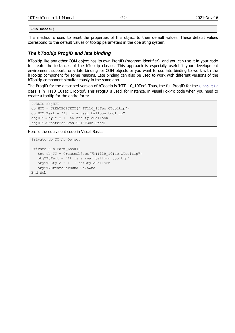| 10Tec<br>a Tooltip <sup>1</sup><br>Manual<br>. | -<br>. -<br>-- | $\cdots$<br>. W<br>.<br>ZUZI:<br>- TO |
|------------------------------------------------|----------------|---------------------------------------|
|                                                |                |                                       |

**Sub Reset()**

This method is used to reset the properties of this object to their default values. These default values correspond to the default values of tooltip parameters in the operating system.

#### <span id="page-22-0"></span>*The hTooltip ProgID and late binding*

hTooltip like any other COM object has its own ProgID (program identifier), and you can use it in your code to create the instances of the hTooltip classes. This approach is especially useful if your development environment supports only late binding for COM objects or you want to use late binding to work with the hTooltip component for some reasons. Late binding can also be used to work with different versions of the hTooltip component simultaneously in the same app.

The ProgID for the described version of hTooltip is 'hTT110\_10Tec'. Thus, the full ProgID for the CTooltip class is 'hTT110\_10Tec.CTooltip'. This ProgID is used, for instance, in Visual FoxPro code when you need to create a tooltip for the entire form:

```
PUBLIC objHTT
objHTT = CREATEOBJECT("hTT110_10Tec.CTooltip")
objHTT.Text = "It is a real balloon tooltip"
objHTT.Style = 1 && httStyleBalloon
objHTT.CreateForHwnd(THISFORM.HWnd)
```
Here is the equivalent code in Visual Basic:

```
Private objTT As Object
Private Sub Form_Load()
  Set objTT = CreateObject("hTT110 10Tec.CTooltip")
   objTT.Text = "It is a real balloon tooltip"
   objTT.Style = 1 ' httStyleBalloon
   objTT.CreateForHwnd Me.hWnd
End Sub
```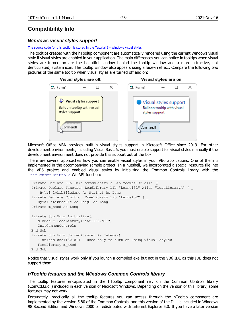# <span id="page-23-0"></span>**Compatibility Info**

## <span id="page-23-1"></span>*Windows visual styles support*

#### [The source code for this section is stored in the Tutorial 9 -](Tutorials/Tutorial%209%20-%20Windows%20visual%20styles/) Windows visual styles

The tooltips created with the hTooltip component are automatically rendered using the current Windows visual style if visual styles are enabled in your application. The main differences you can notice in tooltips when visual styles are turned on are the beautiful shadow behind the tooltip window and a more attractive, not denticulated, system icon. The tooltip window also appears using a fade-in effect. Compare the following two pictures of the same tooltip when visual styles are turned off and on:



Microsoft Office VBA provides built-in visual styles support in Microsoft Office since 2019. For other development environments, including Visual Basic 6, you must enable support for visual styles manually if the development environment does not provide this support out of the box.

There are several approaches how you can enable visual styles in your VB6 applications. One of them is implemented in the accompanying sample project. In a nutshell, we incorporated a special resource file into the VB6 project and enabled visual styles by initializing the Common Controls library with the InitCommonControls WinAPI function:

```
Private Declare Sub InitCommonControls Lib "comctl32.dll" ()
Private Declare Function LoadLibrary Lib "kernel32" Alias "LoadLibraryA" ( _
     ByVal lpLibFileName As String) As Long
Private Declare Function FreeLibrary Lib "kernel32" ( _
   ByVal hLibModule As Long) As Long
Private m_hMod As Long
Private Sub Form_Initialize()
  m hMod = LoadLibrary("shell32.dll")
   InitCommonControls
End Sub
Private Sub Form_Unload(Cancel As Integer)
    ' unload shell32.dll - used only to turn on using visual styles
   FreeLibrary m_hMod
End Sub
```
Notice that visual styles work only if you launch a compiled exe but not in the VB6 IDE as this IDE does not support them.

## <span id="page-23-2"></span>*hTooltip features and the Windows Common Controls library*

The tooltip features encapsulated in the hTooltip component rely on the Common Controls library (ComCtl32.dll) included in each version of Microsoft Windows. Depending on the version of this library, some features may not work.

Fortunately, practically all the tooltip features you can access through the hTooltip component are implemented by the version 5.80 of the Common Controls, and this version of the DLL is included in Windows 98 Second Edition and Windows 2000 or redistributed with Internet Explorer 5.0. If you have a later version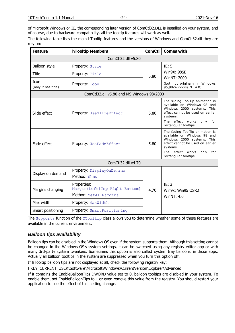of Microsoft Windows or IE, the corresponding later version of ComCtl32.DLL is installed on your system, and of course, due to backward compatibility, all the tooltip features will work as well.

The following table lists the main hTooltip features and the versions of Windows and ComCtl32.dll they are rely on:

| <b>Feature</b>              | <b>hTooltip Members</b>                                               | <b>ComCtl</b> | <b>Comes with</b>                                                                                                                                                                                         |
|-----------------------------|-----------------------------------------------------------------------|---------------|-----------------------------------------------------------------------------------------------------------------------------------------------------------------------------------------------------------|
|                             | ComCtl32.dll v5.80                                                    |               |                                                                                                                                                                                                           |
| Balloon style               | Property: Style                                                       |               | IE: 5                                                                                                                                                                                                     |
| Title                       | Property: Title                                                       | 5.80          | <b>Win9X: 98SE</b>                                                                                                                                                                                        |
| Icon<br>(only if has title) | Property: Icon                                                        |               | <b>WinNT: 2000</b><br>(but not originally in Windows<br>95,98/Windows NT 4.0)                                                                                                                             |
|                             | ComCtl32.dll v5.80 and MS Windows 98/2000                             |               |                                                                                                                                                                                                           |
| Slide effect                | Property: UseSlideEffect                                              | 5.80          | The sliding ToolTip animation is<br>available on Windows 98 and<br>Windows 2000 systems. This<br>effect cannot be used on earlier<br>systems.<br>The effect works<br>only<br>for<br>rectangular tooltips. |
| Fade effect                 | Property: UseFadeEffect                                               | 5.80          | The fading ToolTip animation is<br>available on Windows 98 and<br>Windows 2000 systems. This<br>effect cannot be used on earlier<br>systems.<br>The effect works<br>only<br>for<br>rectangular tooltips.  |
|                             | ComCtl32.dll v4.70                                                    |               |                                                                                                                                                                                                           |
| Display on demand           | Property: DisplayOnDemand<br>Method: Show                             |               |                                                                                                                                                                                                           |
| Margins changing            | Properties:<br>Margin{Left Top Right Bottom}<br>Method: SetAllMargins | 4.70          | IE: 3<br>Win9x: Win95 OSR2<br><b>WinNT: 4.0</b>                                                                                                                                                           |
| Max width                   | Property: MaxWidth                                                    |               |                                                                                                                                                                                                           |
| Smart positioning           | <b>Property:</b> SmartPositioning                                     |               |                                                                                                                                                                                                           |

The Supports function of the CTooltip class allows you to determine whether some of these features are available in the current environment.

## <span id="page-24-0"></span>*Balloon tips availability*

Balloon tips can be disabled in the Windows OS even if the system supports them. Although this setting cannot be changed in the Windows OS's system settings, it can be switched using any registry editor app or with many 3rd-party system tweakers. Sometimes this option is also called 'system tray balloons' in those apps. Actually all balloon tooltips in the system are suppressed when you turn this option off.

If hTooltip balloon tips are not displayed at all, check the following registry key:

HKEY\_CURRENT\_USER\Software\Microsoft\Windows\CurrentVersion\Explorer\Advanced

If it contains the EnableBalloonTips DWORD value set to 0, balloon tooltips are disabled in your system. To enable them, set EnableBalloonTips to 1 or even remove this value from the registry. You should restart your application to see the effect of this setting change.